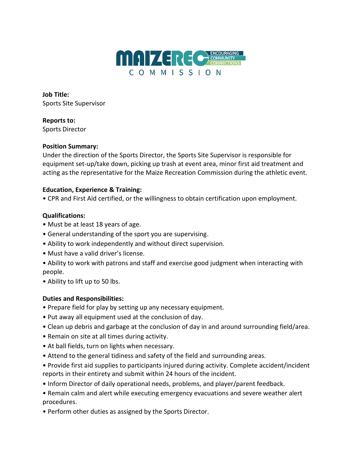

**Job Title:**  Sports Site Supervisor

**Reports to:**  Sports Director

#### **Position Summary:**

Under the direction of the Sports Director, the Sports Site Supervisor is responsible for equipment set-up/take down, picking up trash at event area, minor first aid treatment and acting as the representative for the Maize Recreation Commission during the athletic event.

# **Education, Experience & Training:**

• CPR and First Aid certified, or the willingness to obtain certification upon employment.

## **Qualifications:**

- Must be at least 18 years of age.
- General understanding of the sport you are supervising.
- Ability to work independently and without direct supervision.
- Must have a valid driver's license.
- Ability to work with patrons and staff and exercise good judgment when interacting with people.
- Ability to lift up to 50 lbs.

# **Duties and Responsibilities:**

- Prepare field for play by setting up any necessary equipment.
- Put away all equipment used at the conclusion of day.
- Clean up debris and garbage at the conclusion of day in and around surrounding field/area.
- Remain on site at all times during activity.
- At ball fields, turn on lights when necessary.
- Attend to the general tidiness and safety of the field and surrounding areas.
- Provide first aid supplies to participants injured during activity. Complete accident/incident reports in their entirety and submit within 24 hours of the incident.
- Inform Director of daily operational needs, problems, and player/parent feedback.
- Remain calm and alert while executing emergency evacuations and severe weather alert procedures.
- Perform other duties as assigned by the Sports Director.